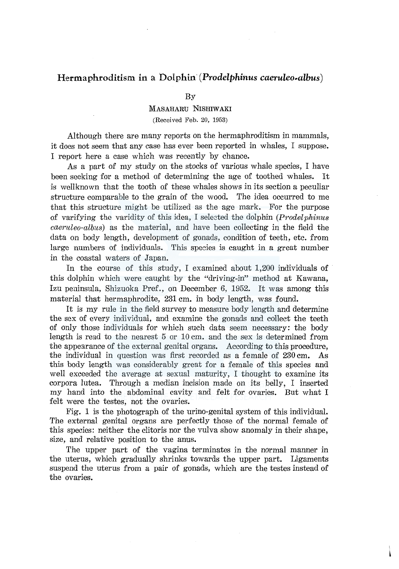## **Hermaphroditism. in a 'Dolphin-(Prodelphinus** *caeruleo-albus)*

## By

## MASAHARU NISRIWAKI

(Received Feb. 20, 1953)

Although there are many reports on the hermaphroditism in mammals, it does not seem that any case has ever been reported in whales, I suppose. I report here a case which was recently by chance.

As a part of my study on the stocks of various whale species, I have been seeking for a method of determining the age of toothed whales. It is wellknown that the tooth of these whales shows in its section a peculiar structure comparable to the grain of the wood. The idea occurred to me that this structure might be utilized as the age mark. For the purpose of varifying the varidity of this idea, I selected the dolphin *(Prodelphinus caeruleo-albus)* as the material, and have been collecting in the field the data on body length, development of gonads, condition of teeth, etc. from large numbers of individuals. This species is caught in a great number in the coastal waters of Japan.

In the course of this study, I examined about 1,200 individuals of this dolphin which were caught by the "driving-in" method at Kawana, Izu peninsula, Shizuoka Pref., on December 6, 1952. It was among this material that hermaphrodite, 231 cm. in body length, was found.

It is my rule in the field survey to measure body length and determine the sex of every individual, and examine the gonads and collect the teeth of only those individuals for which such data seem necessary: the body length is read to the nearest  $5 \text{ or } 10 \text{ cm}$ , and the sex is determined from. the appearance of the external genital organs. According to this procedure, the individual in question was first recorded as a female of 230 cm. As this body length was considerably great for a female of this species and well exceeded the average at sexual maturity, I thought to examine its corpora lutea. Through a median incision made on its belly, I inserted my hand into the abdominal cavity and felt for ovaries. But what I felt were the testes, not the ovaries.

Fig. 1 is the photograph of the urino-genital system of this individual. The external genital organs are perfectly those of the normal female of this species: neither the clitoris nor the vulva show anomaly in their shape, size, and relative position to the anus.

The upper part of the vagina terminates in the normal manner in the uterus, which gradually shrinks towards the upper part. Ligaments suspend the uterus from a pair of gonads, which are the testes instead of the ovaries.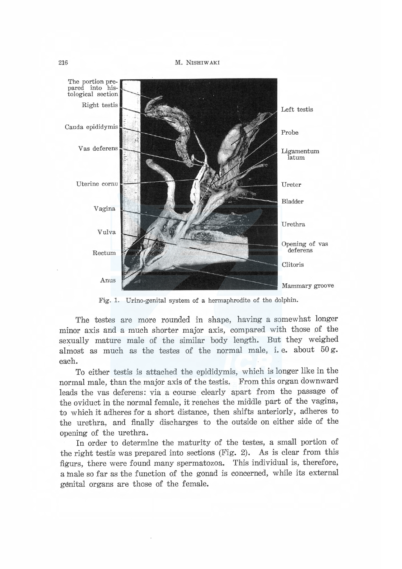The portion pre-<br>pared into histological section Right testis Left testis Cauda epididymis Probe Vas deferens Ligamentum latum Uterine cornu Ureter Bladder Vagina Urethra Vulva Opening of vas<br>deferens Rectum Clitoris Anus Mammary groove

M. NISHIW AKI

Fig. 1. Urino-genital system of a hermaphrodite of the dolphin.

The testes are more rounded in shape, having a somewhat longer minor axis and a much shorter major axis, compared with those of the sexually mature male of the similar body length. But they weighed almost as much as the testes of the normal male, i.e. about 50 g. each.

To either testis is attached the epididymis, which is longer like in the normal male, than the major axis of the testis. From this organ downward leads the vas deferens: via a course clearly apart from the passage of the oviduct in the normal female, it reaches the middle part of the vagina, to which it adheres for a short distance, then shifts anteriorly, adheres to the urethra, and finally discharges to the outside on either side of the opening of the urethra.

In order to determine the maturity of the testes, a small portion of the right testis was prepared into sections (Fig. 2). As is clear from this figurs, there were found many spermatozoa. This individual is, therefore, a male so far as the function of the gonad is concerned, while its external genital organs are those of the female.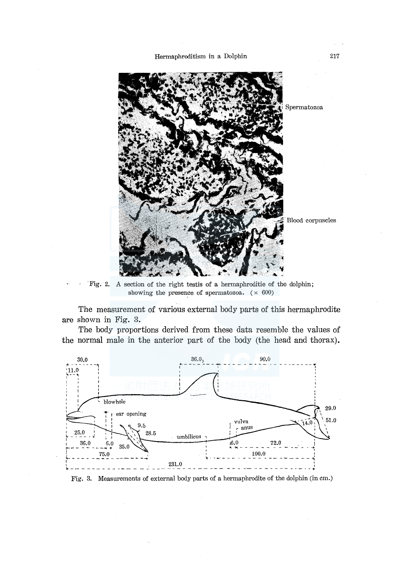

Fig. 2. A section of the right test is of a hermaphroditie of the dolphin; showing the presence of spermatozoa.  $(\times 600)$ 

The measurement of various external body parts of this hermaphrodite are shown in Fig. 3.

The body proportions derived from these data resemble the values of the normal male in the anterior part of the body (the head and thorax).



Fig. 3. Measurements of external body parts of a hermaphrodite of the dolphin (in cm.)